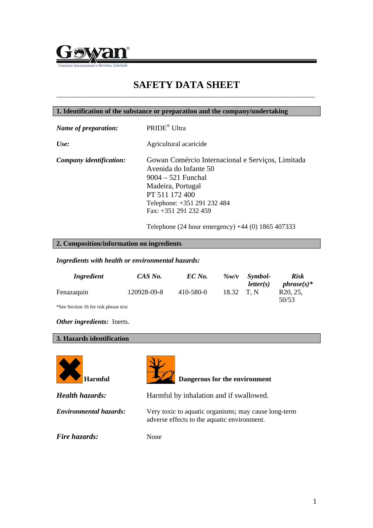

## **SAFETY DATA SHEET** \_\_\_\_\_\_\_\_\_\_\_\_\_\_\_\_\_\_\_\_\_\_\_\_\_\_\_\_\_\_\_\_\_\_\_\_\_\_\_\_\_\_\_\_\_\_\_\_\_\_\_\_\_\_\_\_\_\_\_\_\_\_\_\_\_\_\_\_\_\_\_\_\_\_\_

| 1. Identification of the substance or preparation and the company/undertaking |                                                                                                                                                                                                   |  |
|-------------------------------------------------------------------------------|---------------------------------------------------------------------------------------------------------------------------------------------------------------------------------------------------|--|
| Name of preparation:                                                          | PRIDE <sup>®</sup> Ultra                                                                                                                                                                          |  |
| Use:                                                                          | Agricultural acaricide                                                                                                                                                                            |  |
| Company identification:                                                       | Gowan Comércio Internacional e Serviços, Limitada<br>Avenida do Infante 50<br>$9004 - 521$ Funchal<br>Madeira, Portugal<br>PT 511 172 400<br>Telephone: +351 291 232 484<br>Fax: +351 291 232 459 |  |

Telephone (24 hour emergency) +44 (0) 1865 407333

## **2. Composition/information on ingredients**

*Ingredients with health or environmental hazards:* 

| Ingredient                           | CAS No.     | EC No.    | $\%w/v$ | Symbol-           | <b>Risk</b>                                         |
|--------------------------------------|-------------|-----------|---------|-------------------|-----------------------------------------------------|
| Fenazaquin                           | 120928-09-8 | 410-580-0 | 18.32   | letter(s)<br>T. N | <i>phrase(s)*</i><br>R <sub>20</sub> , 25.<br>50/53 |
| *See Section 16 for risk phrase text |             |           |         |                   |                                                     |

*Other ingredients:* Inerts.

### **3. Hazards identification**





Harmful Dangerous for the environment

*Health hazards:* Harmful by inhalation and if swallowed. *Environmental hazards:* Very toxic to aquatic organisms; may cause long-term adverse effects to the aquatic environment. *Fire hazards:* None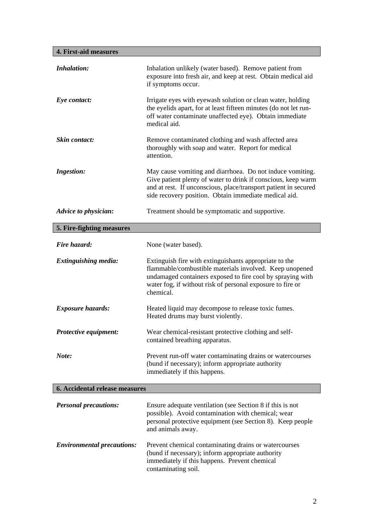**4. First-aid measures** 

| Inhalation:                       | Inhalation unlikely (water based). Remove patient from<br>exposure into fresh air, and keep at rest. Obtain medical aid<br>if symptoms occur.                                                                                                              |
|-----------------------------------|------------------------------------------------------------------------------------------------------------------------------------------------------------------------------------------------------------------------------------------------------------|
| Eye contact:                      | Irrigate eyes with eyewash solution or clean water, holding<br>the eyelids apart, for at least fifteen minutes (do not let run-<br>off water contaminate unaffected eye). Obtain immediate<br>medical aid.                                                 |
| Skin contact:                     | Remove contaminated clothing and wash affected area<br>thoroughly with soap and water. Report for medical<br>attention.                                                                                                                                    |
| <b>Ingestion:</b>                 | May cause vomiting and diarrhoea. Do not induce vomiting.<br>Give patient plenty of water to drink if conscious, keep warm<br>and at rest. If unconscious, place/transport patient in secured<br>side recovery position. Obtain immediate medical aid.     |
| Advice to physician:              | Treatment should be symptomatic and supportive.                                                                                                                                                                                                            |
| 5. Fire-fighting measures         |                                                                                                                                                                                                                                                            |
| Fire hazard:                      | None (water based).                                                                                                                                                                                                                                        |
| <b>Extinguishing media:</b>       | Extinguish fire with extinguishants appropriate to the<br>flammable/combustible materials involved. Keep unopened<br>undamaged containers exposed to fire cool by spraying with<br>water fog, if without risk of personal exposure to fire or<br>chemical. |
| <b>Exposure hazards:</b>          | Heated liquid may decompose to release toxic fumes.<br>Heated drums may burst violently.                                                                                                                                                                   |
| Protective equipment:             | Wear chemical-resistant protective clothing and self-<br>contained breathing apparatus.                                                                                                                                                                    |
| Note:                             | Prevent run-off water contaminating drains or watercourses<br>(bund if necessary); inform appropriate authority<br>immediately if this happens.                                                                                                            |
| 6. Accidental release measures    |                                                                                                                                                                                                                                                            |
| <b>Personal precautions:</b>      | Ensure adequate ventilation (see Section 8 if this is not<br>possible). Avoid contamination with chemical; wear<br>personal protective equipment (see Section 8). Keep people<br>and animals away.                                                         |
| <b>Environmental precautions:</b> | Prevent chemical contaminating drains or watercourses<br>(bund if necessary); inform appropriate authority<br>immediately if this happens. Prevent chemical<br>contaminating soil.                                                                         |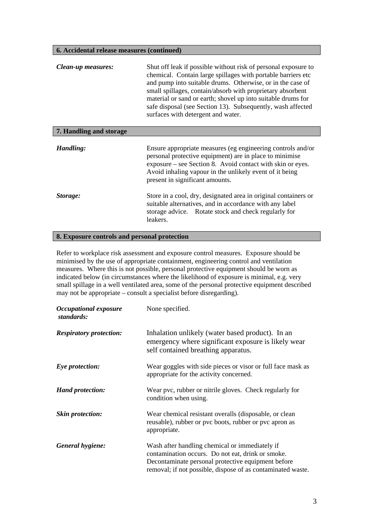## **6. Accidental release measures (continued)**

| Clean-up measures:      | Shut off leak if possible without risk of personal exposure to<br>chemical. Contain large spillages with portable barriers etc.<br>and pump into suitable drums. Otherwise, or in the case of<br>small spillages, contain/absorb with proprietary absorbent<br>material or sand or earth; shovel up into suitable drums for<br>safe disposal (see Section 13). Subsequently, wash affected<br>surfaces with detergent and water. |
|-------------------------|----------------------------------------------------------------------------------------------------------------------------------------------------------------------------------------------------------------------------------------------------------------------------------------------------------------------------------------------------------------------------------------------------------------------------------|
| 7. Handling and storage |                                                                                                                                                                                                                                                                                                                                                                                                                                  |
| Handling:               | Ensure appropriate measures (eg engineering controls and/or<br>personal protective equipment) are in place to minimise<br>exposure – see Section 8. Avoid contact with skin or eyes.<br>Avoid inhaling vapour in the unlikely event of it being<br>present in significant amounts.                                                                                                                                               |
| Storage:                | Store in a cool, dry, designated area in original containers or<br>suitable alternatives, and in accordance with any label<br>storage advice. Rotate stock and check regularly for<br>leakers.                                                                                                                                                                                                                                   |

## **8. Exposure controls and personal protection**

Refer to workplace risk assessment and exposure control measures. Exposure should be minimised by the use of appropriate containment, engineering control and ventilation measures. Where this is not possible, personal protective equipment should be worn as indicated below (in circumstances where the likelihood of exposure is minimal, e.g. very small spillage in a well ventilated area, some of the personal protective equipment described may not be appropriate – consult a specialist before disregarding).

| <b>Occupational exposure</b><br>standards: | None specified.                                                                                                                                                                                                          |
|--------------------------------------------|--------------------------------------------------------------------------------------------------------------------------------------------------------------------------------------------------------------------------|
| <b>Respiratory protection:</b>             | Inhalation unlikely (water based product). In an<br>emergency where significant exposure is likely wear<br>self contained breathing apparatus.                                                                           |
| Eye protection:                            | Wear goggles with side pieces or visor or full face mask as<br>appropriate for the activity concerned.                                                                                                                   |
| <b>Hand protection:</b>                    | Wear pvc, rubber or nitrile gloves. Check regularly for<br>condition when using.                                                                                                                                         |
| <b>Skin protection:</b>                    | Wear chemical resistant overalls (disposable, or clean<br>reusable), rubber or pvc boots, rubber or pvc apron as<br>appropriate.                                                                                         |
| General hygiene:                           | Wash after handling chemical or immediately if<br>contamination occurs. Do not eat, drink or smoke.<br>Decontaminate personal protective equipment before<br>removal; if not possible, dispose of as contaminated waste. |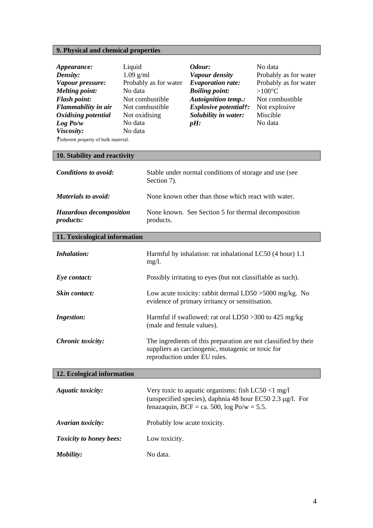# **9. Physical and chemical properties**

| Appearance:<br>Density:<br>Vapour pressure:<br><b>Melting point:</b><br><b>Flash point:</b><br>Flammability in air<br>Oxidising potential<br>Log Po/w<br>Viscosity:<br><i>f</i> inherent property of bulk material.<br>10. Stability and reactivity | Liquid<br>$1.09$ g/ml<br>Probably as for water<br>No data<br>Not combustible<br>Not combustible<br>Not oxidising<br>No data<br>No data |                                                                                                                                                      | Odour:<br>Vapour density<br><b>Evaporation rate:</b><br><b>Boiling point:</b><br><b>Autoignition temp.:</b><br><i>Explosive potential†:</i><br>Solubility in water:<br>$pH$ : | No data<br>Probably as for water<br>Probably as for water<br>$>100^{\circ}C$<br>Not combustible<br>Not explosive<br>Miscible<br>No data |  |
|-----------------------------------------------------------------------------------------------------------------------------------------------------------------------------------------------------------------------------------------------------|----------------------------------------------------------------------------------------------------------------------------------------|------------------------------------------------------------------------------------------------------------------------------------------------------|-------------------------------------------------------------------------------------------------------------------------------------------------------------------------------|-----------------------------------------------------------------------------------------------------------------------------------------|--|
| <b>Conditions to avoid:</b>                                                                                                                                                                                                                         |                                                                                                                                        |                                                                                                                                                      |                                                                                                                                                                               |                                                                                                                                         |  |
|                                                                                                                                                                                                                                                     |                                                                                                                                        | Section 7).                                                                                                                                          | Stable under normal conditions of storage and use (see                                                                                                                        |                                                                                                                                         |  |
| <b>Materials to avoid:</b>                                                                                                                                                                                                                          |                                                                                                                                        |                                                                                                                                                      | None known other than those which react with water.                                                                                                                           |                                                                                                                                         |  |
| Hazardous decomposition<br>products:                                                                                                                                                                                                                |                                                                                                                                        |                                                                                                                                                      | None known. See Section 5 for thermal decomposition<br>products.                                                                                                              |                                                                                                                                         |  |
| 11. Toxicological information                                                                                                                                                                                                                       |                                                                                                                                        |                                                                                                                                                      |                                                                                                                                                                               |                                                                                                                                         |  |
| <b>Inhalation:</b>                                                                                                                                                                                                                                  |                                                                                                                                        | mg/l.                                                                                                                                                | Harmful by inhalation: rat inhalational LC50 (4 hour) 1.1                                                                                                                     |                                                                                                                                         |  |
| Eye contact:                                                                                                                                                                                                                                        |                                                                                                                                        |                                                                                                                                                      | Possibly irritating to eyes (but not classifiable as such).                                                                                                                   |                                                                                                                                         |  |
| Skin contact:                                                                                                                                                                                                                                       |                                                                                                                                        |                                                                                                                                                      | Low acute toxicity: rabbit dermal $LD50 > 5000$ mg/kg. No<br>evidence of primary irritancy or sensitisation.                                                                  |                                                                                                                                         |  |
| <b>Ingestion:</b>                                                                                                                                                                                                                                   |                                                                                                                                        | (male and female values).                                                                                                                            | Harmful if swallowed: rat oral LD50 > 300 to 425 mg/kg                                                                                                                        |                                                                                                                                         |  |
| <b>Chronic</b> toxicity:                                                                                                                                                                                                                            |                                                                                                                                        | The ingredients of this preparation are not classified by their<br>suppliers as carcinogenic, mutagenic or toxic for<br>reproduction under EU rules. |                                                                                                                                                                               |                                                                                                                                         |  |
| 12. Ecological information                                                                                                                                                                                                                          |                                                                                                                                        |                                                                                                                                                      |                                                                                                                                                                               |                                                                                                                                         |  |
| <b>Aquatic toxicity:</b>                                                                                                                                                                                                                            |                                                                                                                                        |                                                                                                                                                      | Very toxic to aquatic organisms: fish $LC50 < 1$ mg/l<br>(unspecified species), daphnia 48 hour EC50 2.3 $\mu$ g/l. For<br>fenazaquin, BCF = ca. 500, $log Po/w = 5.5$ .      |                                                                                                                                         |  |
| Avarian toxicity:                                                                                                                                                                                                                                   |                                                                                                                                        | Probably low acute toxicity.                                                                                                                         |                                                                                                                                                                               |                                                                                                                                         |  |
| <b>Toxicity to honey bees:</b>                                                                                                                                                                                                                      |                                                                                                                                        | Low toxicity.                                                                                                                                        |                                                                                                                                                                               |                                                                                                                                         |  |

*Mobility:* No data.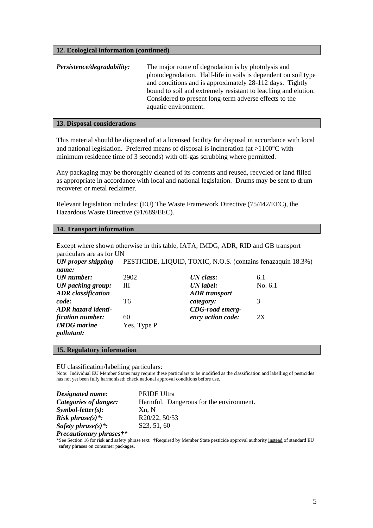#### **12. Ecological information (continued)**

| Persistence/degradability: | The major route of degradation is by photolysis and            |
|----------------------------|----------------------------------------------------------------|
|                            | photodegradation. Half-life in soils is dependent on soil type |
|                            | and conditions and is approximately 28-112 days. Tightly       |
|                            | bound to soil and extremely resistant to leaching and elution. |
|                            | Considered to present long-term adverse effects to the         |
|                            | aquatic environment.                                           |

#### **13. Disposal considerations**

This material should be disposed of at a licensed facility for disposal in accordance with local and national legislation. Preferred means of disposal is incineration (at  $>1100^{\circ}$ C with minimum residence time of 3 seconds) with off-gas scrubbing where permitted.

Any packaging may be thoroughly cleaned of its contents and reused, recycled or land filled as appropriate in accordance with local and national legislation. Drums may be sent to drum recoverer or metal reclaimer.

Relevant legislation includes: (EU) The Waste Framework Directive (75/442/EEC), the Hazardous Waste Directive (91/689/EEC).

#### **14. Transport information**

| Except where shown otherwise in this table, IATA, IMDG, ADR, RID and GB transport |  |  |  |  |
|-----------------------------------------------------------------------------------|--|--|--|--|
| particulars are as for UN                                                         |  |  |  |  |

*UN proper shipping name:*  PESTICIDE, LIQUID, TOXIC, N.O.S. (contains fenazaquin 18.3%)

| UN number:                | 2902        | UN class:              | 6.1       |
|---------------------------|-------------|------------------------|-----------|
| UN packing group:         | Ш           | UN label:              | No. $6.1$ |
| <b>ADR</b> classification |             | <b>ADR</b> transport   |           |
| code:                     | Т6          | category:              | 3         |
| ADR hazard identi-        |             | <b>CDG-road emerg-</b> |           |
| fication number:          | 60          | ency action code:      | 2X        |
| <b>IMDG</b> marine        | Yes, Type P |                        |           |
| <i>pollutant:</i>         |             |                        |           |

#### **15. Regulatory information**

EU classification/labelling particulars:

Note: Individual EU Member States may require these particulars to be modified as the classification and labelling of pesticides has not yet been fully harmonised; check national approval conditions before use.

| Designated name:            | <b>PRIDE Ultra</b>                      |
|-----------------------------|-----------------------------------------|
| Categories of danger:       | Harmful. Dangerous for the environment. |
| $Symbol\text{-}letter(s)$ : | Xn. N                                   |
| <i>Risk phrase(s)*:</i>     | R20/22, 50/53                           |
| Safety phrase $(s)$ *:      | S23, 51, 60                             |
|                             |                                         |

*Precautionary phrases†\** 

\*See Section 16 for risk and safety phrase text. †Required by Member State pesticide approval authority instead of standard EU safety phrases on consumer packages.